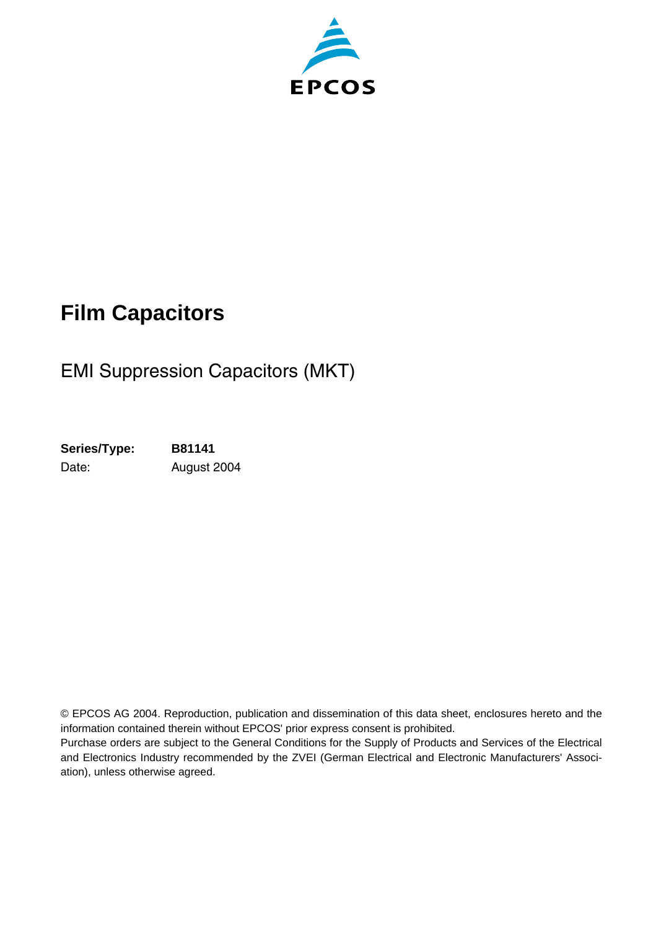

## **Film Capacitors**

### EMI Suppression Capacitors (MKT)

**Series/Type: B81141** Date: August 2004

© EPCOS AG 2004. Reproduction, publication and dissemination of this data sheet, enclosures hereto and the information contained therein without EPCOS' prior express consent is prohibited.

Purchase orders are subject to the General Conditions for the Supply of Products and Services of the Electrical and Electronics Industry recommended by the ZVEI (German Electrical and Electronic Manufacturers' Association), unless otherwise agreed.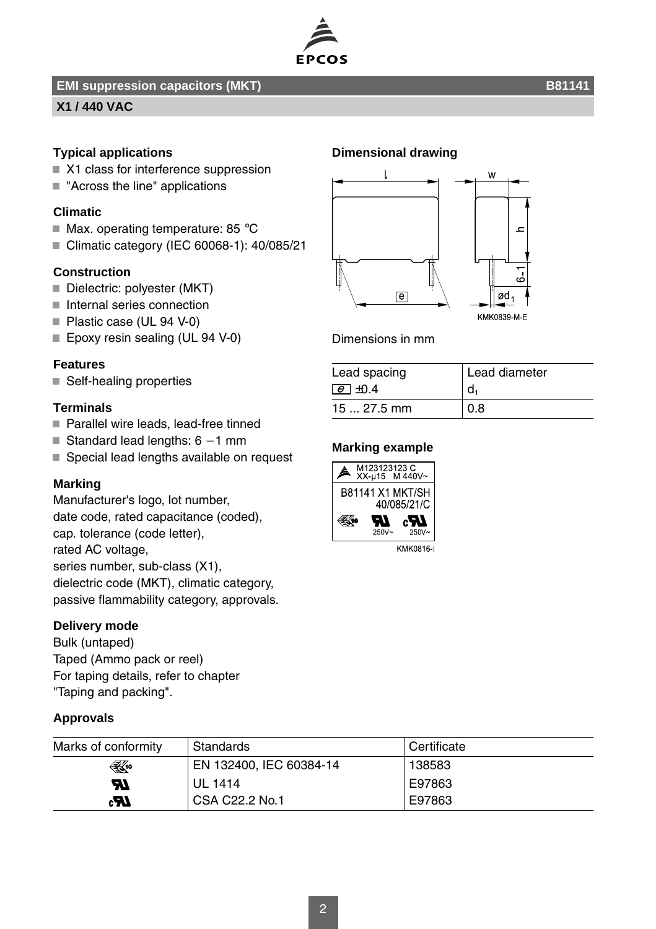

#### **EMI suppression capacitors (MKT)** B81141

#### **X1 / 440 VAC**

#### **Typical applications**

- X1 class for interference suppression
- "Across the line" applications

#### **Climatic**

- $\blacksquare$  Max. operating temperature: 85 °C
- Climatic category (IEC 60068-1): 40/085/21

#### **Construction**

- Dielectric: polyester (MKT)
- Internal series connection
- Plastic case (UL 94 V-0)
- Epoxy resin sealing (UL 94 V-0)

#### **Features**

■ Self-healing properties

#### **Terminals**

- Parallel wire leads, lead-free tinned
- Standard lead lengths:  $6 1$  mm
- Special lead lengths available on request

#### **Marking**

Manufacturer's logo, lot number, date code, rated capacitance (coded), cap. tolerance (code letter), rated AC voltage, series number, sub-class (X1), dielectric code (MKT), climatic category, passive flammability category, approvals.

#### **Delivery mode**

Bulk (untaped) Taped (Ammo pack or reel) For taping details, refer to chapter "Taping and packing".

#### **Approvals**

#### **Dimensional drawing**



Dimensions in mm

| Lead spacing    | Lead diameter |
|-----------------|---------------|
| $\epsilon$ +0.4 |               |
| $1527.5$ mm     | 0.8           |

#### **Marking example**



| Marks of conformity | Standards               | Certificate |
|---------------------|-------------------------|-------------|
| ⊛                   | EN 132400, IEC 60384-14 | 138583      |
| M                   | <b>UL 1414</b>          | E97863      |
| دی                  | CSA C22.2 No.1          | E97863      |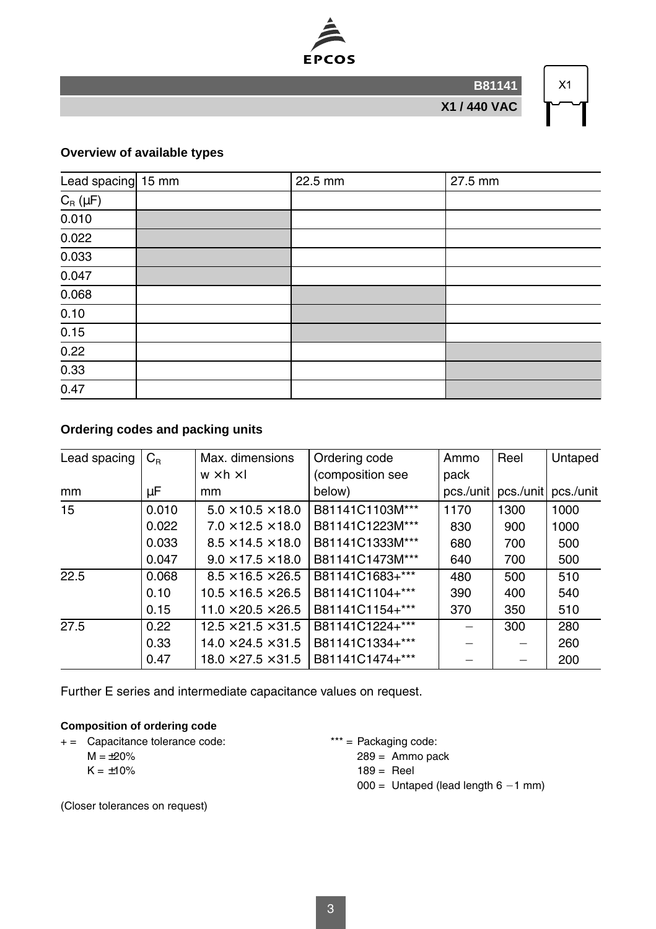

**B81141**

**X1 / 440 VAC**

# $X1$

#### **Overview of available types**

| Lead spacing 15 mm | 22.5 mm | 27.5 mm |
|--------------------|---------|---------|
| $C_R(\mu F)$       |         |         |
| 0.010              |         |         |
| 0.022              |         |         |
| 0.033              |         |         |
| 0.047              |         |         |
| 0.068              |         |         |
| 0.10               |         |         |
| 0.15               |         |         |
| 0.22               |         |         |
| 0.33               |         |         |
| 0.47               |         |         |

#### **Ordering codes and packing units**

| Lead spacing | $C_{R}$ | Max. dimensions                | Ordering code    | Ammo      | Reel      | Untaped   |
|--------------|---------|--------------------------------|------------------|-----------|-----------|-----------|
|              |         | $w \times h \times I$          | (composition see | pack      |           |           |
| mm           | μF      | mm                             | below)           | pcs./unit | pcs./unit | pcs./unit |
| 15           | 0.010   | $5.0 \times 10.5 \times 18.0$  | B81141C1103M***  | 1170      | 1300      | 1000      |
|              | 0.022   | $7.0 \times 12.5 \times 18.0$  | B81141C1223M***  | 830       | 900       | 1000      |
|              | 0.033   | $8.5 \times 14.5 \times 18.0$  | B81141C1333M***  | 680       | 700       | 500       |
|              | 0.047   | $9.0 \times 17.5 \times 18.0$  | B81141C1473M***  | 640       | 700       | 500       |
| 22.5         | 0.068   | $8.5 \times 16.5 \times 26.5$  | B81141C1683+***  | 480       | 500       | 510       |
|              | 0.10    | $10.5 \times 16.5 \times 26.5$ | B81141C1104+***  | 390       | 400       | 540       |
|              | 0.15    | $11.0 \times 20.5 \times 26.5$ | B81141C1154+***  | 370       | 350       | 510       |
| 27.5         | 0.22    | $12.5 \times 21.5 \times 31.5$ | B81141C1224+***  |           | 300       | 280       |
|              | 0.33    | $14.0 \times 24.5 \times 31.5$ | B81141C1334+***  |           |           | 260       |
|              | 0.47    | $18.0 \times 27.5 \times 31.5$ | B81141C1474+***  |           |           | 200       |

Further E series and intermediate capacitance values on request.

#### **Composition of ordering code**

+ = Capacitance tolerance code: \*\*\* = Packaging code:

 $M = \pm 20\%$  $K = \pm 10\%$ 

289 = Ammo pack  $189 =$ Reel  $000 =$  Untaped (lead length  $6 - 1$  mm)

(Closer tolerances on request)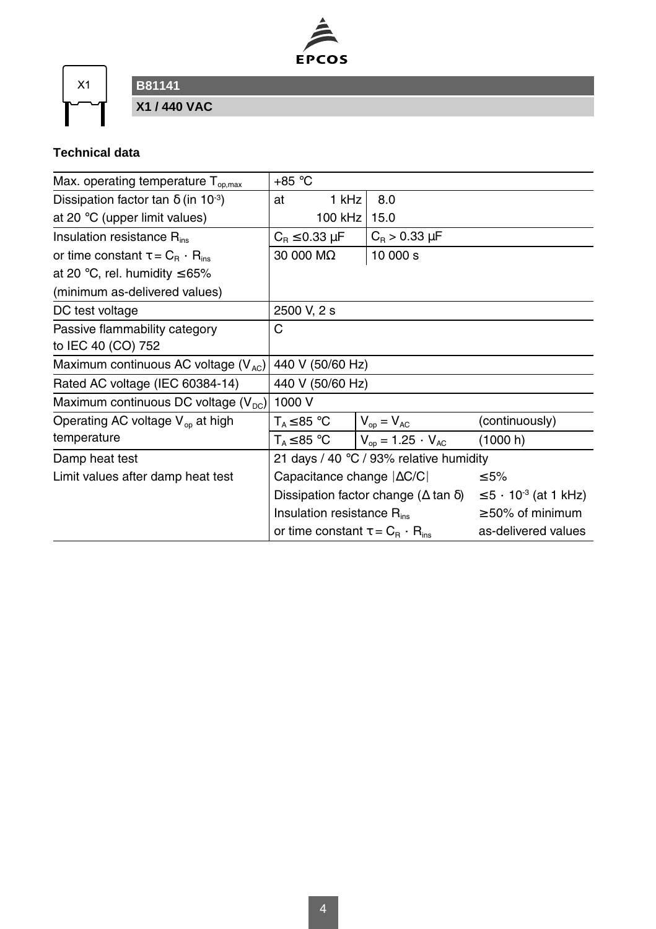

 $X1$ 

**B81141**

**X1 / 440 VAC**

### **Technical data**

| Max. operating temperature $T_{\text{o}o,max}$         | $+85 °C$                                                                      |                              |                |
|--------------------------------------------------------|-------------------------------------------------------------------------------|------------------------------|----------------|
| Dissipation factor tan $\delta$ (in 10 <sup>-3</sup> ) | 1 kHz<br>at                                                                   | 8.0                          |                |
| at 20 $\degree$ C (upper limit values)                 | 100 kHz                                                                       | 15.0                         |                |
| Insulation resistance R <sub>ins</sub>                 | $C_{\rm B} \leq 0.33 \mu F$                                                   | $C_{\rm B}$ > 0.33 $\mu$ F   |                |
| or time constant $\tau = C_{\rm B} \cdot R_{\rm ins}$  | 30 000 MΩ                                                                     | 10 000 s                     |                |
| at 20 °C, rel. humidity $\leq 65\%$                    |                                                                               |                              |                |
| (minimum as-delivered values)                          |                                                                               |                              |                |
| DC test voltage                                        | 2500 V, 2 s                                                                   |                              |                |
| Passive flammability category                          | С                                                                             |                              |                |
| to IEC 40 (CO) 752                                     |                                                                               |                              |                |
| Maximum continuous AC voltage $(V_{AC})$               | 440 V (50/60 Hz)                                                              |                              |                |
| Rated AC voltage (IEC 60384-14)                        | 440 V (50/60 Hz)                                                              |                              |                |
| Maximum continuous DC voltage $(V_{\text{DC}})$        | 1000 V                                                                        |                              |                |
| Operating AC voltage $V_{op}$ at high                  | $\mathsf{T}_\text{\tiny A}\!\leq\!85\ {}^\circ\mathsf{C}$                     | $V_{op} = V_{AC}$            | (continuously) |
| temperature                                            | T <sub>△</sub> ≤ 85 °C                                                        | $V_{op} = 1.25 \cdot V_{AC}$ | (1000 h)       |
| Damp heat test                                         | 21 days / 40 $\degree$ C / 93% relative humidity                              |                              |                |
| Limit values after damp heat test                      | Capacitance change $ \Delta C/C $<br>$\leq 5\%$                               |                              |                |
|                                                        | Dissipation factor change ( $\Delta$ tan $\delta$ )<br>$≤ 5 ⋅ 103$ (at 1 kHz) |                              |                |
|                                                        | Insulation resistance R <sub>ins</sub><br>$\geq$ 50% of minimum               |                              |                |
|                                                        | as-delivered values<br>or time constant $\tau = C_{\rm B} \cdot R_{\rm ins}$  |                              |                |